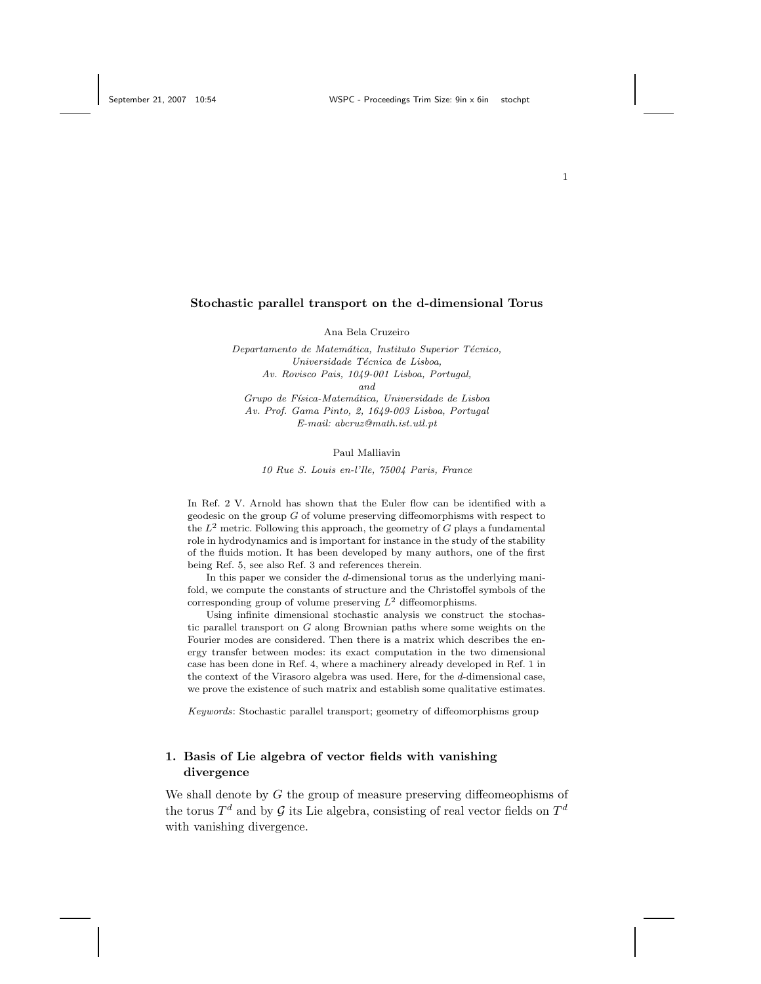#### Stochastic parallel transport on the d-dimensional Torus

Ana Bela Cruzeiro

Departamento de Matemática, Instituto Superior Técnico, Universidade Técnica de Lisboa, Av. Rovisco Pais, 1049-001 Lisboa, Portugal, and

Grupo de Física-Matemática, Universidade de Lisboa Av. Prof. Gama Pinto, 2, 1649-003 Lisboa, Portugal E-mail: abcruz@math.ist.utl.pt

#### Paul Malliavin

10 Rue S. Louis en-l'Ile, 75004 Paris, France

In Ref. 2 V. Arnold has shown that the Euler flow can be identified with a geodesic on the group  $G$  of volume preserving diffeomorphisms with respect to the  $L^2$  metric. Following this approach, the geometry of G plays a fundamental role in hydrodynamics and is important for instance in the study of the stability of the fluids motion. It has been developed by many authors, one of the first being Ref. 5, see also Ref. 3 and references therein.

In this paper we consider the d-dimensional torus as the underlying manifold, we compute the constants of structure and the Christoffel symbols of the corresponding group of volume preserving  $L^2$  diffeomorphisms.

Using infinite dimensional stochastic analysis we construct the stochastic parallel transport on G along Brownian paths where some weights on the Fourier modes are considered. Then there is a matrix which describes the energy transfer between modes: its exact computation in the two dimensional case has been done in Ref. 4, where a machinery already developed in Ref. 1 in the context of the Virasoro algebra was used. Here, for the d-dimensional case, we prove the existence of such matrix and establish some qualitative estimates.

Keywords: Stochastic parallel transport; geometry of diffeomorphisms group

## 1. Basis of Lie algebra of vector fields with vanishing divergence

We shall denote by  $G$  the group of measure preserving diffeomeophisms of the torus  $T^d$  and by  $\mathcal G$  its Lie algebra, consisting of real vector fields on  $T^d$ with vanishing divergence.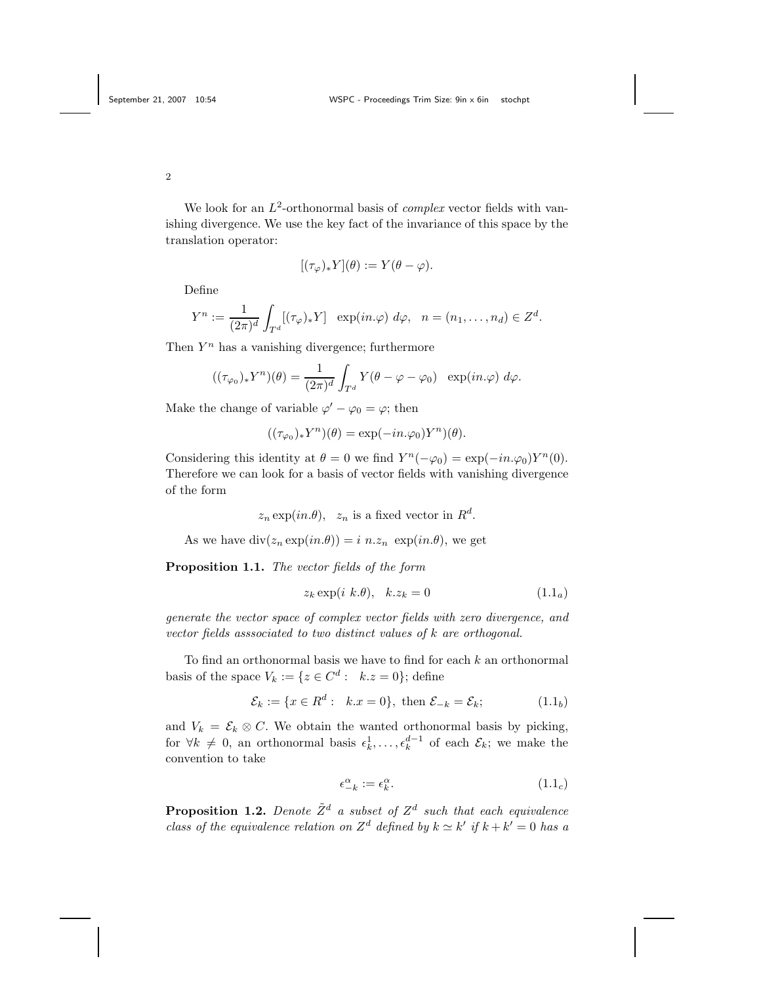We look for an  $L^2$ -orthonormal basis of *complex* vector fields with vanishing divergence. We use the key fact of the invariance of this space by the translation operator:

$$
[(\tau_{\varphi})_* Y](\theta) := Y(\theta - \varphi).
$$

Define

$$
Y^n := \frac{1}{(2\pi)^d} \int_{T^d} [(\tau_{\varphi})_* Y] \exp(in.\varphi) d\varphi, \quad n = (n_1,\ldots,n_d) \in Z^d.
$$

Then  $Y^n$  has a vanishing divergence; furthermore

$$
((\tau_{\varphi_0})_* Y^n)(\theta) = \frac{1}{(2\pi)^d} \int_{T^d} Y(\theta - \varphi - \varphi_0) \exp(in.\varphi) d\varphi.
$$

Make the change of variable  $\varphi' - \varphi_0 = \varphi$ ; then

$$
((\tau_{\varphi_0})_* Y^n)(\theta) = \exp(-in.\varphi_0) Y^n)(\theta).
$$

Considering this identity at  $\theta = 0$  we find  $Y^n(-\varphi_0) = \exp(-in \cdot \varphi_0)Y^n(0)$ . Therefore we can look for a basis of vector fields with vanishing divergence of the form

$$
z_n \exp(in.\theta)
$$
,  $z_n$  is a fixed vector in  $R^d$ .

As we have  $div(z_n \exp(in.\theta)) = i n.z_n \exp(in.\theta)$ , we get

Proposition 1.1. The vector fields of the form

$$
z_k \exp(i \ k.\theta), \quad k.z_k = 0 \tag{1.1_a}
$$

generate the vector space of complex vector fields with zero divergence, and vector fields asssociated to two distinct values of k are orthogonal.

To find an orthonormal basis we have to find for each  $k$  an orthonormal basis of the space  $V_k := \{ z \in \mathbb{C}^d : k.z = 0 \};$  define

$$
\mathcal{E}_k := \{ x \in R^d : \quad k \cdot x = 0 \}, \text{ then } \mathcal{E}_{-k} = \mathcal{E}_k; \tag{1.1b}
$$

and  $V_k = \mathcal{E}_k \otimes C$ . We obtain the wanted orthonormal basis by picking, for  $\forall k \neq 0$ , an orthonormal basis  $\epsilon_k^1, \ldots, \epsilon_k^{d-1}$  of each  $\mathcal{E}_k$ ; we make the convention to take

$$
\epsilon_{-k}^{\alpha} := \epsilon_k^{\alpha}.\tag{1.1c}
$$

**Proposition 1.2.** Denote  $\tilde{Z}^d$  a subset of  $Z^d$  such that each equivalence class of the equivalence relation on  $Z^d$  defined by  $k \simeq k'$  if  $k + k' = 0$  has a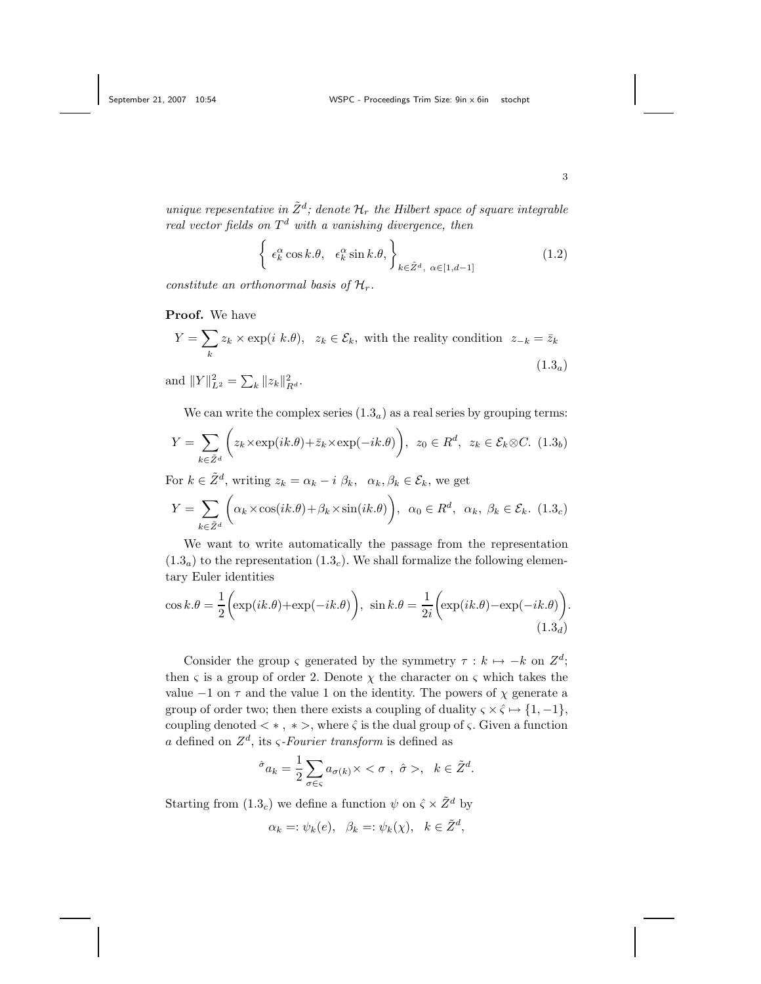unique repesentative in  $\tilde{Z}^d$ ; denote  $\mathcal{H}_r$  the Hilbert space of square integrable real vector fields on  $T<sup>d</sup>$  with a vanishing divergence, then

$$
\left\{ \epsilon_k^{\alpha} \cos k.\theta, \ \epsilon_k^{\alpha} \sin k.\theta, \right\}_{k \in \tilde{Z}^d, \ \alpha \in [1, d-1]} \tag{1.2}
$$

constitute an orthonormal basis of  $\mathcal{H}_r$ .

### Proof. We have

$$
Y = \sum_{k} z_k \times \exp(i \ k.\theta), \ z_k \in \mathcal{E}_k, \text{ with the reality condition } z_{-k} = \bar{z}_k
$$
  
(1.3<sub>a</sub>)

and  $||Y||_{L^2}^2 = \sum_k ||z_k||_{R^d}^2$ .

We can write the complex series  $(1.3<sub>a</sub>)$  as a real series by grouping terms:

$$
Y = \sum_{k \in \tilde{Z}^d} \left( z_k \times \exp(ik.\theta) + \bar{z}_k \times \exp(-ik.\theta) \right), \ z_0 \in R^d, \ z_k \in \mathcal{E}_k \otimes C. \ (1.3_b)
$$

For  $k \in \tilde{Z}^d$ , writing  $z_k = \alpha_k - i \beta_k$ ,  $\alpha_k, \beta_k \in \mathcal{E}_k$ , we get

$$
Y = \sum_{k \in \tilde{Z}^d} \left( \alpha_k \times \cos(ik.\theta) + \beta_k \times \sin(ik.\theta) \right), \ \alpha_0 \in R^d, \ \alpha_k, \ \beta_k \in \mathcal{E}_k. \ (1.3_c)
$$

We want to write automatically the passage from the representation  $(1.3<sub>a</sub>)$  to the representation  $(1.3<sub>c</sub>)$ . We shall formalize the following elementary Euler identities

$$
\cos k.\theta = \frac{1}{2} \left( \exp(ik.\theta) + \exp(-ik.\theta) \right), \sin k.\theta = \frac{1}{2i} \left( \exp(ik.\theta) - \exp(-ik.\theta) \right)
$$
\n(1.3<sub>d</sub>)

Consider the group  $\varsigma$  generated by the symmetry  $\tau : k \mapsto -k$  on  $Z^d$ ; then  $\varsigma$  is a group of order 2. Denote  $\chi$  the character on  $\varsigma$  which takes the value  $-1$  on  $\tau$  and the value 1 on the identity. The powers of  $\chi$  generate a group of order two; then there exists a coupling of duality  $\varsigma \times \hat{\varsigma} \mapsto \{1, -1\},\$ coupling denoted  $\langle *, * \rangle$ , where  $\hat{\zeta}$  is the dual group of  $\zeta$ . Given a function a defined on  $Z^d$ , its  $\varsigma$ -Fourier transform is defined as

$$
\hat{\sigma}_{a_k} = \frac{1}{2} \sum_{\sigma \in \varsigma} a_{\sigma(k)} \times \langle \sigma \,, \, \hat{\sigma} \rangle, \ \ k \in \tilde{Z}^d.
$$

Starting from  $(1.3<sub>c</sub>)$  we define a function  $\psi$  on  $\hat{\zeta} \times \tilde{Z}^d$  by

$$
\alpha_k = \psi_k(e), \quad \beta_k = \psi_k(\chi), \quad k \in \tilde{Z}^d,
$$

.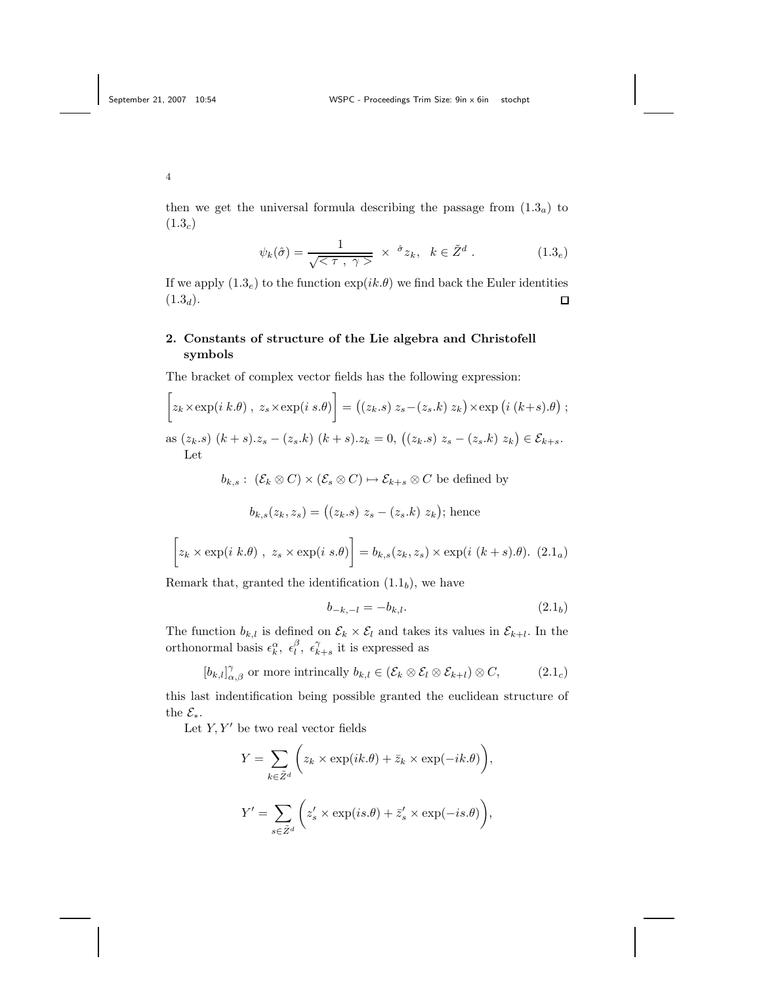then we get the universal formula describing the passage from  $(1.3<sub>a</sub>)$  to  $(1.3_c)$ 

$$
\psi_k(\hat{\sigma}) = \frac{1}{\sqrt{1, \gamma} \cdot \sqrt{1, \gamma}} \times \hat{\sigma}_{z_k, k} \quad k \in \tilde{Z}^d \ . \tag{1.3_e}
$$

If we apply  $(1.3_e)$  to the function  $\exp(ik.\theta)$  we find back the Euler identities  $(1.3<sub>d</sub>)$ .  $\square$ 

# 2. Constants of structure of the Lie algebra and Christofell symbols

The bracket of complex vector fields has the following expression:

$$
\[ z_k \times \exp(i k.\theta) , z_s \times \exp(i s.\theta) \] = \big( (z_k.s) \ z_s - (z_s.k) \ z_k \big) \times \exp\big( i (k+s).\theta \big) ;
$$
  
as  $(z_k.s) (k+s).z_s - (z_s.k) (k+s).z_k = 0, ((z_k.s) z_s - (z_s.k) z_k) \in \mathcal{E}_{k+s}.$   
Let

 $b_{k,s}$ :  $(\mathcal{E}_k \otimes C) \times (\mathcal{E}_s \otimes C) \mapsto \mathcal{E}_{k+s} \otimes C$  be defined by

$$
b_{k,s}(z_k, z_s) = ((z_k.s) z_s - (z_s.k) z_k);
$$
 hence

$$
\[ z_k \times \exp(i \ k.\theta) \ , \ z_s \times \exp(i \ s.\theta) \] = b_{k,s}(z_k, z_s) \times \exp(i \ (k+s).\theta). \ (2.1_a)
$$

Remark that, granted the identification  $(1.1<sub>b</sub>)$ , we have

$$
b_{-k,-l} = -b_{k,l}.\tag{2.1b}
$$

The function  $b_{k,l}$  is defined on  $\mathcal{E}_k \times \mathcal{E}_l$  and takes its values in  $\mathcal{E}_{k+l}$ . In the orthonormal basis  $\epsilon_k^{\alpha}, \epsilon_l^{\beta}, \epsilon_{k+s}^{\gamma}$  it is expressed as

 $[b_{k,l}]_{\alpha,\beta}^{\gamma}$  or more intrincally  $b_{k,l} \in (\mathcal{E}_k \otimes \mathcal{E}_l \otimes \mathcal{E}_{k+l}) \otimes C,$  (2.1<sub>c</sub>)

this last indentification being possible granted the euclidean structure of the  $\mathcal{E}_*$ .

Let  $Y, Y'$  be two real vector fields

$$
Y = \sum_{k \in \tilde{Z}^d} \left( z_k \times \exp(ik.\theta) + \bar{z}_k \times \exp(-ik.\theta) \right),
$$
  

$$
Y' = \sum_{s \in \tilde{Z}^d} \left( z'_s \times \exp(is.\theta) + \bar{z}'_s \times \exp(-is.\theta) \right),
$$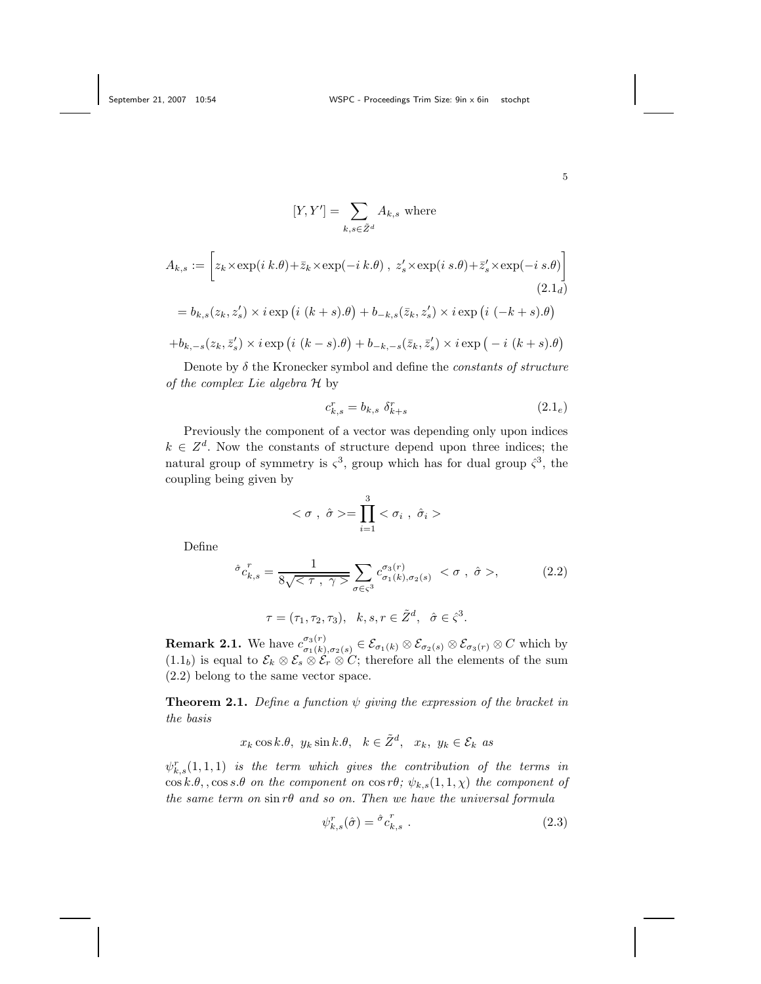$$
[Y, Y'] = \sum_{k, s \in \tilde{Z}^d} A_{k, s} \text{ where}
$$

$$
A_{k,s} := \left[ z_k \times \exp(i \ k.\theta) + \bar{z}_k \times \exp(-i \ k.\theta) , z'_s \times \exp(i \ s.\theta) + \bar{z}'_s \times \exp(-i \ s.\theta) \right]
$$
  
\n
$$
= b_{k,s}(z_k, z'_s) \times i \exp\left(i \ (k+s).\theta\right) + b_{-k,s}(\bar{z}_k, z'_s) \times i \exp\left(i \ (-k+s).\theta\right)
$$
  
\n
$$
+ b_{k,-s}(z_k, \bar{z}'_s) \times i \exp\left(i \ (k-s).\theta\right) + b_{-k,-s}(\bar{z}_k, \bar{z}'_s) \times i \exp\left(-i \ (k+s).\theta\right)
$$

Denote by 
$$
\delta
$$
 the Kronecker symbol and define the *constants of structure of the complex Lie algebra*  ${\cal H}$  by

$$
c_{k,s}^r = b_{k,s} \ \delta_{k+s}^r \tag{2.1_e}
$$

Previously the component of a vector was depending only upon indices  $k \in \mathbb{Z}^d$ . Now the constants of structure depend upon three indices; the natural group of symmetry is  $\zeta^3$ , group which has for dual group  $\zeta^3$ , the coupling being given by

$$
\langle \sigma \, , \, \hat{\sigma} \rangle = \prod_{i=1}^{3} \langle \sigma_i \, , \, \hat{\sigma}_i \rangle
$$

Define

$$
\hat{\sigma}^r_{k,s} = \frac{1}{8\sqrt{<\tau,\ \gamma>}} \sum_{\sigma \in \varsigma^3} c^{\sigma_3(r)}_{\sigma_1(k),\sigma_2(s)} <\sigma,\ \hat{\sigma}>,\tag{2.2}
$$

$$
\tau = (\tau_1, \tau_2, \tau_3), \quad k, s, r \in \tilde{Z}^d, \quad \hat{\sigma} \in \hat{\varsigma}^3.
$$

**Remark 2.1.** We have  $c_{\sigma_1(k)}^{\sigma_3(r)}$  $\sigma_1^{(s)}(\sigma_1(k), \sigma_2(s)) \in \mathcal{E}_{\sigma_1(k)} \otimes \mathcal{E}_{\sigma_2(s)} \otimes \mathcal{E}_{\sigma_3(r)} \otimes C$  which by  $(1.1<sub>b</sub>)$  is equal to  $\mathcal{E}_k \otimes \mathcal{E}_s \otimes \mathcal{E}_r \otimes C$ ; therefore all the elements of the sum (2.2) belong to the same vector space.

**Theorem 2.1.** Define a function  $\psi$  giving the expression of the bracket in the basis

$$
x_k \cos k.\theta
$$
,  $y_k \sin k.\theta$ ,  $k \in \tilde{Z}^d$ ,  $x_k$ ,  $y_k \in \mathcal{E}_k$  as

 $\psi_{k,s}^r(1,1,1)$  is the term which gives the contribution of the terms in  $\cos k.\theta$ ,  $\cos s.\theta$  on the component on  $\cos r\theta$ ;  $\psi_{k,s}(1,1,\chi)$  the component of the same term on  $\sin r\theta$  and so on. Then we have the universal formula

$$
\psi_{k,s}^r(\hat{\sigma}) = \hat{\sigma}^r_{k,s} . \tag{2.3}
$$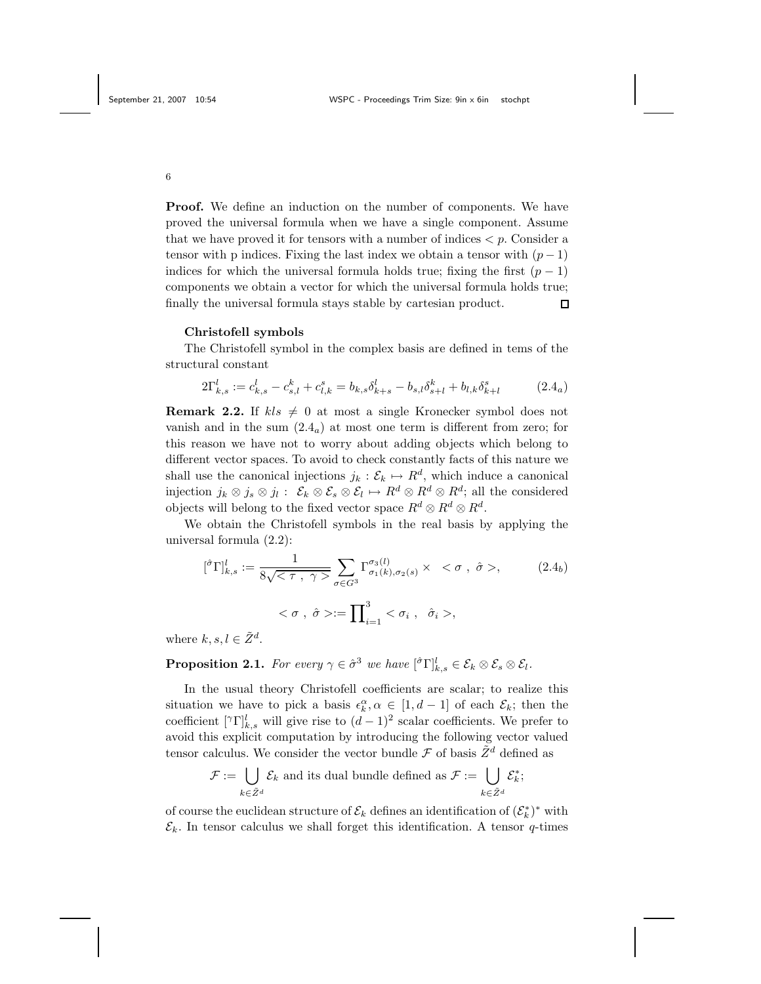Proof. We define an induction on the number of components. We have proved the universal formula when we have a single component. Assume that we have proved it for tensors with a number of indices  $\langle p \rangle$ . Consider a tensor with p indices. Fixing the last index we obtain a tensor with  $(p-1)$ indices for which the universal formula holds true; fixing the first  $(p-1)$ components we obtain a vector for which the universal formula holds true; finally the universal formula stays stable by cartesian product. □

#### Christofell symbols

The Christofell symbol in the complex basis are defined in tems of the structural constant

$$
2\Gamma_{k,s}^l := c_{k,s}^l - c_{s,l}^k + c_{l,k}^s = b_{k,s}\delta_{k+s}^l - b_{s,l}\delta_{s+l}^k + b_{l,k}\delta_{k+l}^s \tag{2.4a}
$$

**Remark 2.2.** If  $kls \neq 0$  at most a single Kronecker symbol does not vanish and in the sum  $(2.4<sub>a</sub>)$  at most one term is different from zero; for this reason we have not to worry about adding objects which belong to different vector spaces. To avoid to check constantly facts of this nature we shall use the canonical injections  $j_k : \mathcal{E}_k \mapsto R^d$ , which induce a canonical injection  $j_k \otimes j_s \otimes j_l : \mathcal{E}_k \otimes \mathcal{E}_s \otimes \mathcal{E}_l \mapsto R^d \otimes R^d \otimes R^d$ ; all the considered objects will belong to the fixed vector space  $R^d \otimes R^d \otimes R^d$ .

We obtain the Christofell symbols in the real basis by applying the universal formula (2.2):

$$
[{}^{\hat{\sigma}}\Gamma]_{k,s}^l := \frac{1}{8\sqrt{<\tau,\ \gamma>}} \sum_{\sigma \in G^3} \Gamma_{\sigma_1(k),\sigma_2(s)}^{\sigma_3(l)} \times <\sigma,\ \hat{\sigma}>, \qquad (2.4_b)
$$

$$
<\sigma,\ \hat{\sigma}>=\prod_{i=1}^3 <\sigma_i,\ \hat{\sigma}_i>,
$$

where  $k, s, l \in \tilde{Z}^d$ .

**Proposition 2.1.** For every  $\gamma \in \hat{\sigma}^3$  we have  $[\hat{\sigma} \Gamma]_{k,s}^l \in \mathcal{E}_k \otimes \mathcal{E}_s \otimes \mathcal{E}_l$ .

In the usual theory Christofell coefficients are scalar; to realize this situation we have to pick a basis  $\epsilon_k^{\alpha}, \alpha \in [1, d-1]$  of each  $\mathcal{E}_k$ ; then the coefficient  $[\Upsilon \Gamma]_{k,s}^l$  will give rise to  $(d-1)^2$  scalar coefficients. We prefer to avoid this explicit computation by introducing the following vector valued tensor calculus. We consider the vector bundle  $\mathcal F$  of basis  $\tilde Z^d$  defined as

$$
\mathcal{F} := \bigcup_{k \in \tilde{Z}^d} \mathcal{E}_k
$$
 and its dual bundle defined as 
$$
\mathcal{F} := \bigcup_{k \in \tilde{Z}^d} \mathcal{E}_k^*;
$$

of course the euclidean structure of  $\mathcal{E}_k$  defines an identification of  $(\mathcal{E}_k^*)^*$  with  $\mathcal{E}_k$ . In tensor calculus we shall forget this identification. A tensor q-times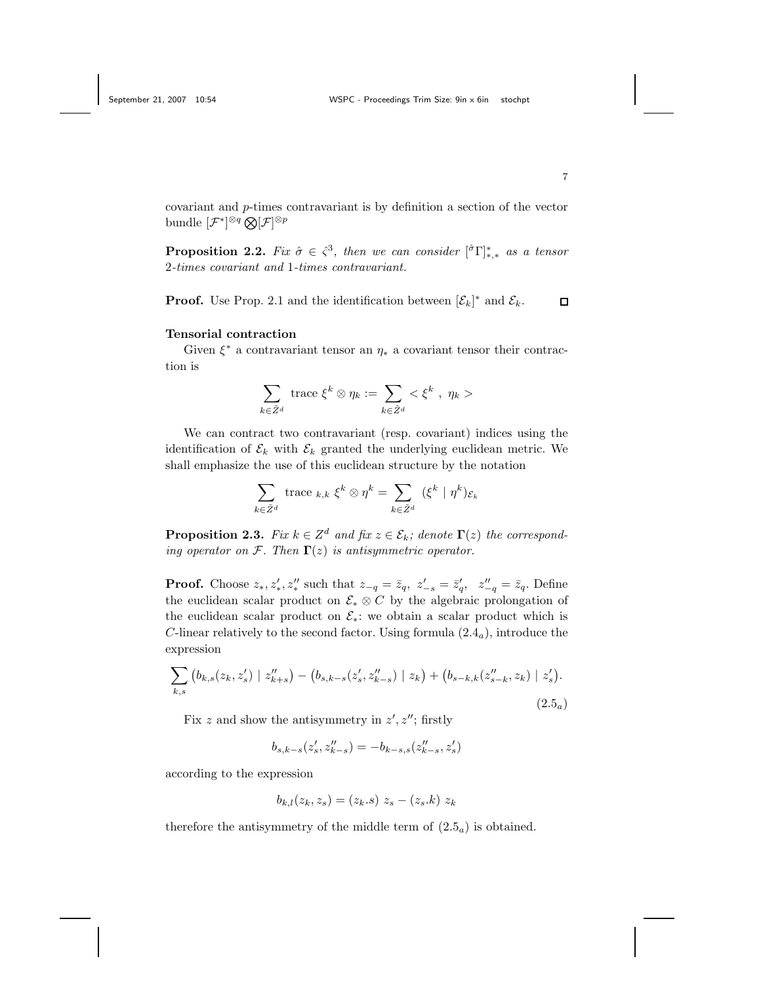covariant and p-times contravariant is by definition a section of the vector bundle  $[\mathcal{F}^*]^{\otimes q} \bigotimes [\mathcal{F}]^{\otimes p}$ 

**Proposition 2.2.** Fix  $\hat{\sigma} \in \hat{\zeta}^3$ , then we can consider  $[{}^{\hat{\sigma}}\Gamma]_{*,*}^*$  as a tensor 2-times covariant and 1-times contravariant.

**Proof.** Use Prop. 2.1 and the identification between  $[\mathcal{E}_k]^*$  and  $\mathcal{E}_k$ .  $\Box$ 

#### Tensorial contraction

Given  $\xi^*$  a contravariant tensor an  $\eta_*$  a covariant tensor their contraction is

$$
\sum_{k\in \tilde{Z}^d} \text{ trace } \xi^k\otimes \eta_k:=\sum_{k\in \tilde{Z}^d} <\xi^k\ ,\ \eta_k>
$$

We can contract two contravariant (resp. covariant) indices using the identification of  $\mathcal{E}_k$  with  $\mathcal{E}_k$  granted the underlying euclidean metric. We shall emphasize the use of this euclidean structure by the notation

$$
\sum_{k \in \tilde{Z}^d} \text{ trace }_{k,k} \xi^k \otimes \eta^k = \sum_{k \in \tilde{Z}^d} (\xi^k \mid \eta^k)_{\mathcal{E}_k}
$$

**Proposition 2.3.** Fix  $k \in \mathbb{Z}^d$  and fix  $z \in \mathcal{E}_k$ ; denote  $\Gamma(z)$  the corresponding operator on  $\mathcal{F}$ . Then  $\Gamma(z)$  is antisymmetric operator.

**Proof.** Choose  $z_*, z'_*, z''_*$  such that  $z_{-q} = \bar{z}_q$ ,  $z'_{-s} = \bar{z}'_q$ ,  $z''_{-q} = \bar{z}_q$ . Define the euclidean scalar product on  $\mathcal{E}_* \otimes C$  by the algebraic prolongation of the euclidean scalar product on  $\mathcal{E}_*$ : we obtain a scalar product which is C-linear relatively to the second factor. Using formula  $(2.4<sub>a</sub>)$ , introduce the expression

$$
\sum_{k,s} \left( b_{k,s}(z_k, z_s') \mid z_{k+s}'' \right) - \left( b_{s,k-s}(z_s', z_{k-s}'') \mid z_k \right) + \left( b_{s-k,k}(z_{s-k}'', z_k) \mid z_s' \right). \tag{2.5a}
$$

Fix z and show the antisymmetry in  $z'$ ,  $z''$ ; firstly

$$
b_{s,k-s}(z'_s, z''_{k-s}) = -b_{k-s,s}(z''_{k-s}, z'_s)
$$

according to the expression

$$
b_{k,l}(z_k, z_s) = (z_k.s) z_s - (z_s.k) z_k
$$

therefore the antisymmetry of the middle term of  $(2.5<sub>a</sub>)$  is obtained.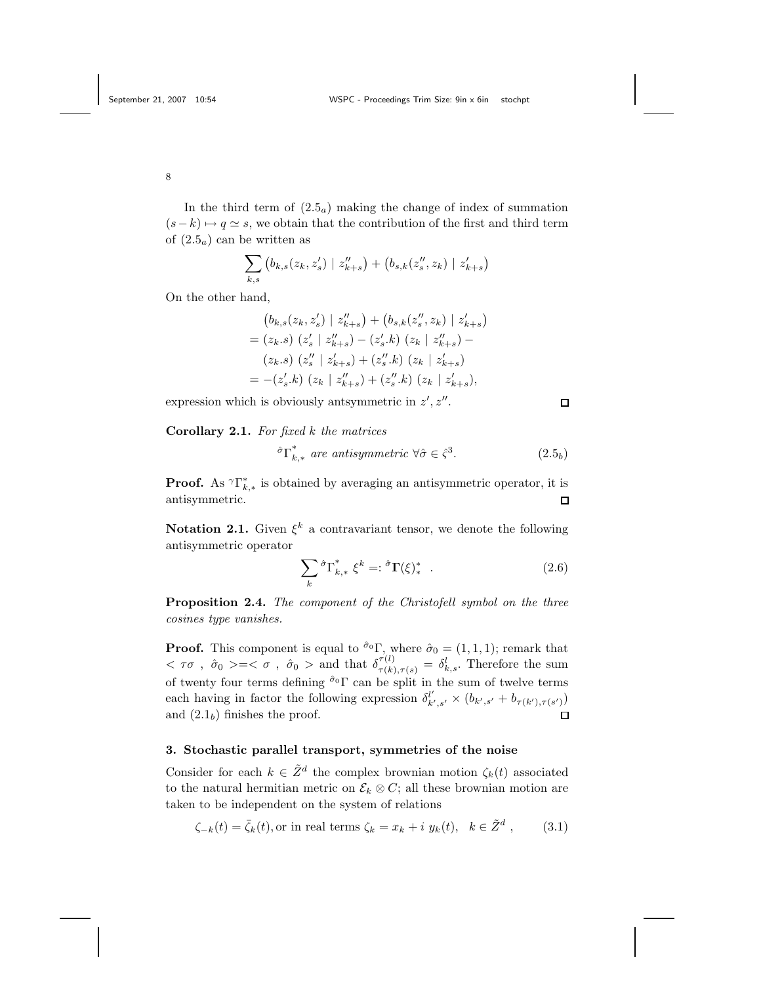In the third term of  $(2.5<sub>a</sub>)$  making the change of index of summation  $(s-k) \mapsto q \simeq s$ , we obtain that the contribution of the first and third term of  $(2.5<sub>a</sub>)$  can be written as

$$
\sum_{k,s} (b_{k,s}(z_k, z_s') | z_{k+s}'') + (b_{s,k}(z_s'', z_k) | z_{k+s}')
$$

On the other hand,

$$
(b_{k,s}(z_k, z'_s) | z''_{k+s}) + (b_{s,k}(z''_s, z_k) | z'_{k+s})
$$
  
= (z\_k.s) (z'\_s | z''\_{k+s}) - (z'\_s.k) (z\_k | z''\_{k+s}) -  
(z\_k.s) (z''\_s | z'\_{k+s}) + (z''\_s.k) (z\_k | z'\_{k+s})  
= -(z'\_s.k) (z\_k | z''\_{k+s}) + (z''\_s.k) (z\_k | z'\_{k+s}),

expression which is obviously antsymmetric in  $z', z''$ .

Corollary 2.1. For fixed  $k$  the matrices

$$
\hat{\sigma} \Gamma_{k,*}^{*} \text{ are antisymmetric } \forall \hat{\sigma} \in \hat{\varsigma}^{3}. \tag{2.5b}
$$

 $\square$ 

**Proof.** As  ${}^{\gamma}\Gamma_{k,*}^*$  is obtained by averaging an antisymmetric operator, it is antisymmetric.  $\Box$ 

Notation 2.1. Given  $\xi^k$  a contravariant tensor, we denote the following antisymmetric operator

$$
\sum_{k} \hat{\sigma} \Gamma_{k,*}^* \xi^k =: \hat{\sigma} \Gamma(\xi)_*^* \quad . \tag{2.6}
$$

Proposition 2.4. The component of the Christofell symbol on the three cosines type vanishes.

**Proof.** This component is equal to  $\hat{\sigma}_0 \Gamma$ , where  $\hat{\sigma}_0 = (1, 1, 1)$ ; remark that  $<\tau\sigma$ ,  $\hat{\sigma}_0>=<\sigma$ ,  $\hat{\sigma}_0>$  and that  $\delta^{\tau(l)}_{\tau(k),\tau(s)}=\delta^l_{k,s}$ . Therefore the sum of twenty four terms defining  $\partial^0 \Gamma$  can be split in the sum of twelve terms each having in factor the following expression  $\delta_{k',s'}^{l'} \times (b_{k',s'} + b_{\tau(k'),\tau(s')})$ and  $(2.1<sub>b</sub>)$  finishes the proof.  $\Box$ 

### 3. Stochastic parallel transport, symmetries of the noise

Consider for each  $k \in \tilde{Z}^d$  the complex brownian motion  $\zeta_k(t)$  associated to the natural hermitian metric on  $\mathcal{E}_k \otimes C$ ; all these brownian motion are taken to be independent on the system of relations

$$
\zeta_{-k}(t) = \bar{\zeta}_k(t), \text{or in real terms } \zeta_k = x_k + i y_k(t), \quad k \in \tilde{Z}^d \tag{3.1}
$$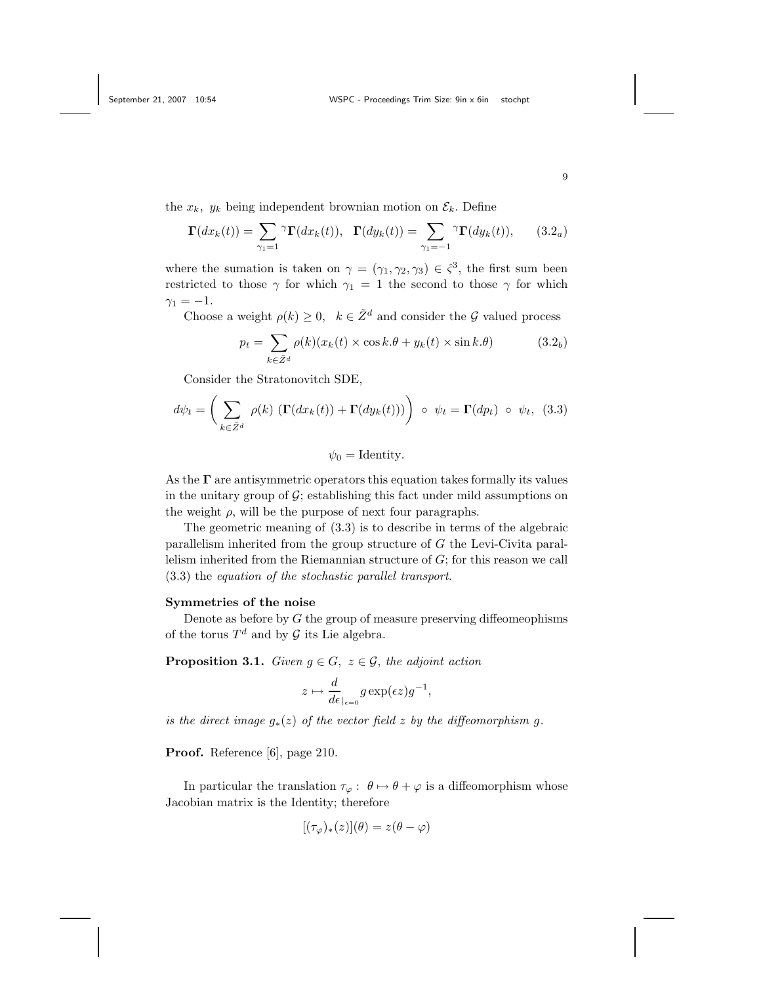the  $x_k$ ,  $y_k$  being independent brownian motion on  $\mathcal{E}_k$ . Define

$$
\Gamma(dx_k(t)) = \sum_{\gamma_1=1}^{\gamma} \Gamma(dx_k(t)), \quad \Gamma(dy_k(t)) = \sum_{\gamma_1=-1}^{\gamma} \Gamma(dy_k(t)), \quad (3.2_a)
$$

where the sumation is taken on  $\gamma = (\gamma_1, \gamma_2, \gamma_3) \in \hat{\zeta}^3$ , the first sum been restricted to those  $\gamma$  for which  $\gamma_1 = 1$  the second to those  $\gamma$  for which  $\gamma_1 = -1.$ 

Choose a weight  $\rho(k) \geq 0$ ,  $k \in \tilde{Z}^d$  and consider the G valued process

$$
p_t = \sum_{k \in \tilde{Z}^d} \rho(k)(x_k(t) \times \cos k \cdot \theta + y_k(t) \times \sin k \cdot \theta) \tag{3.2b}
$$

Consider the Stratonovitch SDE,

$$
d\psi_t = \left(\sum_{k \in \tilde{Z}^d} \rho(k) \left(\Gamma(dx_k(t)) + \Gamma(dy_k(t))\right)\right) \circ \psi_t = \Gamma(dp_t) \circ \psi_t, \tag{3.3}
$$

$$
\psi_0 = \text{Identity}.
$$

As the  $\Gamma$  are antisymmetric operators this equation takes formally its values in the unitary group of  $\mathcal{G}$ ; establishing this fact under mild assumptions on the weight  $\rho$ , will be the purpose of next four paragraphs.

The geometric meaning of (3.3) is to describe in terms of the algebraic parallelism inherited from the group structure of G the Levi-Civita parallelism inherited from the Riemannian structure of G; for this reason we call (3.3) the equation of the stochastic parallel transport.

#### Symmetries of the noise

Denote as before by  $G$  the group of measure preserving diffeomeophisms of the torus  $T^d$  and by  $\mathcal G$  its Lie algebra.

**Proposition 3.1.** Given  $g \in G$ ,  $z \in \mathcal{G}$ , the adjoint action

$$
z \mapsto \frac{d}{d\epsilon}\Big|_{\epsilon=0} g \exp(\epsilon z) g^{-1},
$$

is the direct image  $g_*(z)$  of the vector field z by the diffeomorphism g.

Proof. Reference [6], page 210.

In particular the translation  $\tau_{\varphi}: \theta \mapsto \theta + \varphi$  is a diffeomorphism whose Jacobian matrix is the Identity; therefore

$$
[(\tau_{\varphi})_*(z)](\theta) = z(\theta - \varphi)
$$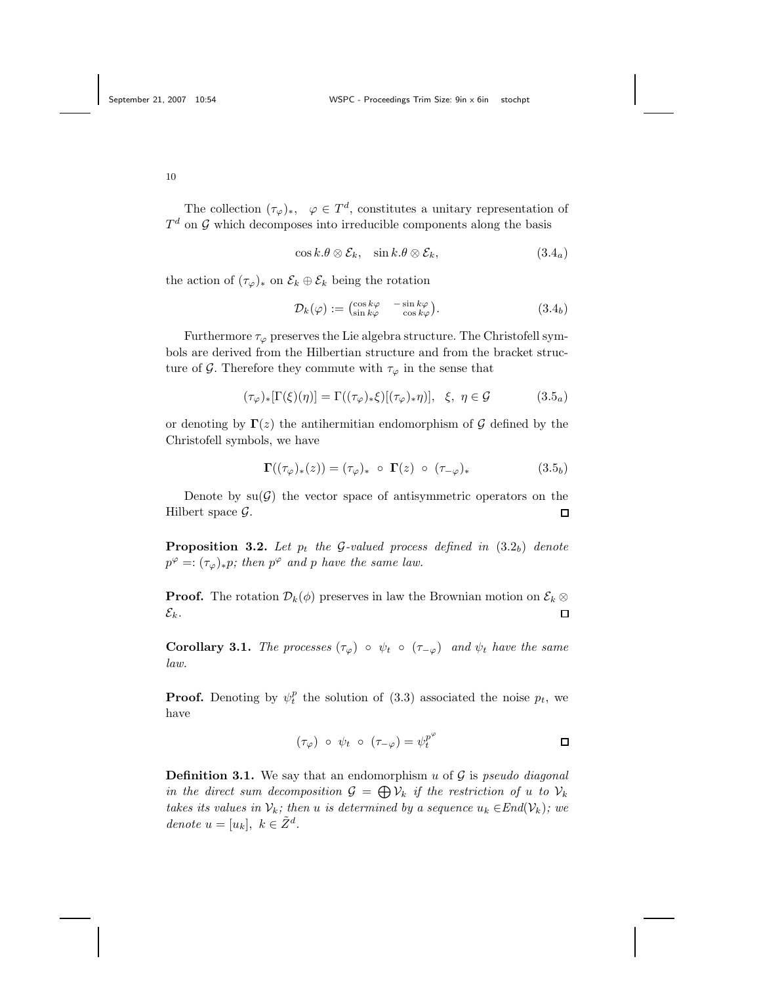The collection  $(\tau_{\varphi})_*$ ,  $\varphi \in T^d$ , constitutes a unitary representation of  $T<sup>d</sup>$  on  $\mathcal G$  which decomposes into irreducible components along the basis

$$
\cos k.\theta \otimes \mathcal{E}_k, \quad \sin k.\theta \otimes \mathcal{E}_k, \tag{3.4a}
$$

the action of  $(\tau_{\varphi})_*$  on  $\mathcal{E}_k \oplus \mathcal{E}_k$  being the rotation

$$
\mathcal{D}_k(\varphi) := \begin{pmatrix} \cos k\varphi & -\sin k\varphi \\ \sin k\varphi & \cos k\varphi \end{pmatrix} . \tag{3.4b}
$$

Furthermore  $\tau_{\varphi}$  preserves the Lie algebra structure. The Christofell symbols are derived from the Hilbertian structure and from the bracket structure of G. Therefore they commute with  $\tau_{\varphi}$  in the sense that

$$
(\tau_{\varphi})_*[\Gamma(\xi)(\eta)] = \Gamma((\tau_{\varphi})_*\xi)[(\tau_{\varphi})_*\eta)], \xi, \eta \in \mathcal{G}
$$
 (3.5<sub>a</sub>)

or denoting by  $\Gamma(z)$  the antihermitian endomorphism of G defined by the Christofell symbols, we have

$$
\Gamma((\tau_{\varphi})_*(z)) = (\tau_{\varphi})_* \circ \Gamma(z) \circ (\tau_{-\varphi})_*
$$
\n(3.5<sub>b</sub>)

Denote by  $su(\mathcal{G})$  the vector space of antisymmetric operators on the Hilbert space  $\mathcal{G}$ .  $\Box$ 

**Proposition 3.2.** Let  $p_t$  the G-valued process defined in  $(3.2_b)$  denote  $p^{\varphi} =: (\tau_{\varphi})_*p$ ; then  $p^{\varphi}$  and p have the same law.

**Proof.** The rotation  $\mathcal{D}_k(\phi)$  preserves in law the Brownian motion on  $\mathcal{E}_k \otimes \mathcal{E}_k$ .  $\mathcal{E}_k$ .

**Corollary 3.1.** The processes  $(\tau_{\varphi}) \circ \psi_t \circ (\tau_{-\varphi})$  and  $\psi_t$  have the same law.

**Proof.** Denoting by  $\psi_t^p$  the solution of (3.3) associated the noise  $p_t$ , we have

$$
(\tau_{\varphi}) \ \circ \ \psi_t \ \circ \ (\tau_{-\varphi}) = \psi_t^{p^{\varphi}} \qquad \qquad \Box
$$

**Definition 3.1.** We say that an endomorphism u of  $\mathcal{G}$  is pseudo diagonal in the direct sum decomposition  $\mathcal{G} = \bigoplus \mathcal{V}_k$  if the restriction of u to  $\mathcal{V}_k$ takes its values in  $\mathcal{V}_k$ ; then u is determined by a sequence  $u_k \in End(\mathcal{V}_k)$ ; we denote  $u = [u_k]$ ,  $k \in \tilde{Z}^d$ .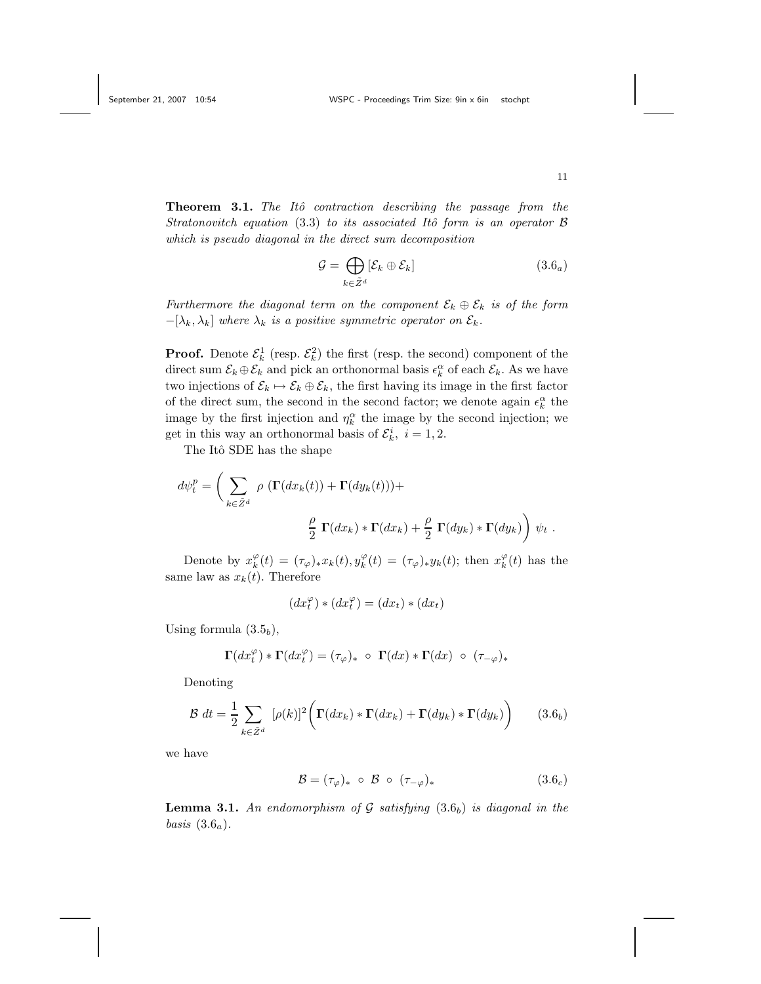**Theorem 3.1.** The Itô contraction describing the passage from the Stratonovitch equation (3.3) to its associated Itô form is an operator  $\beta$ which is pseudo diagonal in the direct sum decomposition

$$
\mathcal{G} = \bigoplus_{k \in \tilde{Z}^d} [\mathcal{E}_k \oplus \mathcal{E}_k]
$$
 (3.6<sub>a</sub>)

Furthermore the diagonal term on the component  $\mathcal{E}_k \oplus \mathcal{E}_k$  is of the form  $-[\lambda_k, \lambda_k]$  where  $\lambda_k$  is a positive symmetric operator on  $\mathcal{E}_k$ .

**Proof.** Denote  $\mathcal{E}_k^1$  (resp.  $\mathcal{E}_k^2$ ) the first (resp. the second) component of the direct sum  $\mathcal{E}_k \oplus \mathcal{E}_k$  and pick an orthonormal basis  $\epsilon_k^{\alpha}$  of each  $\mathcal{E}_k$ . As we have two injections of  $\mathcal{E}_k \mapsto \mathcal{E}_k \oplus \mathcal{E}_k$ , the first having its image in the first factor of the direct sum, the second in the second factor; we denote again  $\epsilon^\alpha_k$  the image by the first injection and  $\eta_k^{\alpha}$  the image by the second injection; we get in this way an orthonormal basis of  $\mathcal{E}_k^i$ ,  $i = 1, 2$ .

The Itô SDE has the shape

$$
d\psi_t^p = \left(\sum_{k \in \tilde{Z}^d} \rho \left(\mathbf{\Gamma}(dx_k(t)) + \mathbf{\Gamma}(dy_k(t))\right) + \frac{\rho}{2} \mathbf{\Gamma}(dx_k) * \mathbf{\Gamma}(dx_k) + \frac{\rho}{2} \mathbf{\Gamma}(dy_k) * \mathbf{\Gamma}(dy_k)\right) \psi_t.
$$

Denote by  $x_k^{\varphi}(t) = (\tau_{\varphi})_* x_k(t), y_k^{\varphi}(t) = (\tau_{\varphi})_* y_k(t)$ ; then  $x_k^{\varphi}(t)$  has the same law as  $x_k(t)$ . Therefore

$$
(dx_t^{\varphi}) * (dx_t^{\varphi}) = (dx_t) * (dx_t)
$$

Using formula  $(3.5<sub>b</sub>)$ ,

$$
\Gamma(dx_t^{\varphi}) * \Gamma(dx_t^{\varphi}) = (\tau_{\varphi})_* \circ \Gamma(dx) * \Gamma(dx) \circ (\tau_{-\varphi})_*
$$

Denoting

$$
\mathcal{B} dt = \frac{1}{2} \sum_{k \in \tilde{Z}^d} [\rho(k)]^2 \bigg( \Gamma(dx_k) \ast \Gamma(dx_k) + \Gamma(dy_k) \ast \Gamma(dy_k) \bigg) \qquad (3.6_b)
$$

we have

$$
\mathcal{B} = (\tau_{\varphi})_* \circ \mathcal{B} \circ (\tau_{-\varphi})_* \tag{3.6_c}
$$

**Lemma 3.1.** An endomorphism of G satisfying  $(3.6<sub>b</sub>)$  is diagonal in the basis  $(3.6_a)$ .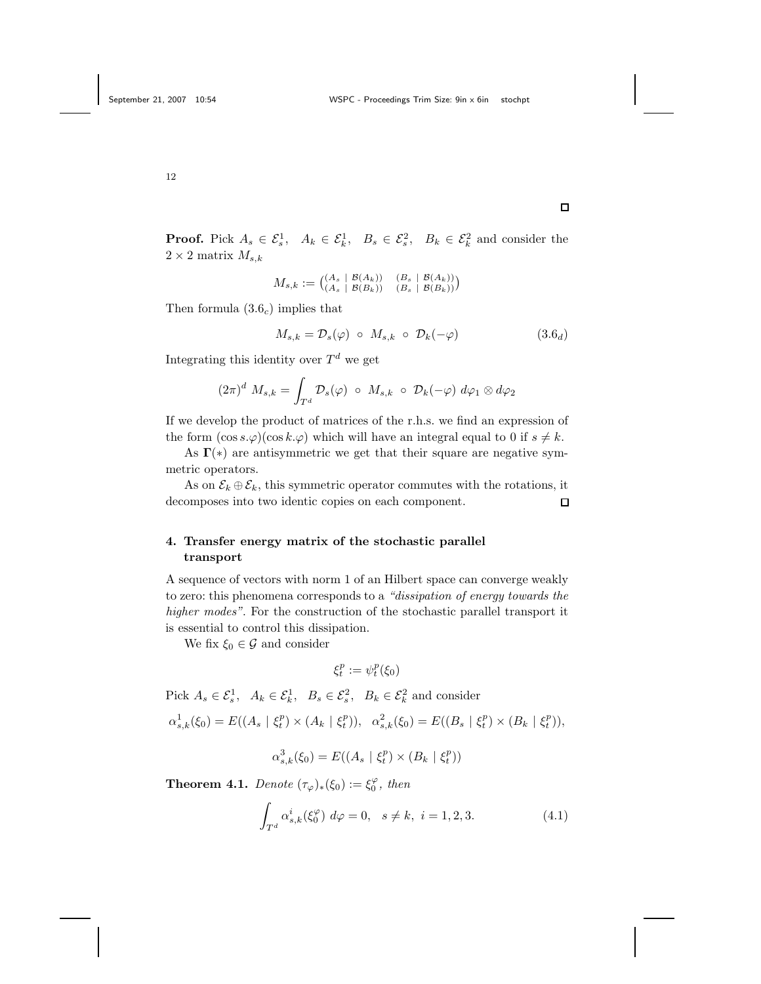**Proof.** Pick  $A_s \in \mathcal{E}_s^1$ ,  $A_k \in \mathcal{E}_k^1$ ,  $B_s \in \mathcal{E}_s^2$ ,  $B_k \in \mathcal{E}_k^2$  and consider the  $2 \times 2$  matrix  $M_{s,k}$ 

$$
M_{s,k} := \begin{pmatrix} (A_s \mid \mathcal{B}(A_k)) & (B_s \mid \mathcal{B}(A_k)) \\ (A_s \mid \mathcal{B}(B_k)) & (B_s \mid \mathcal{B}(B_k)) \end{pmatrix}
$$

Then formula  $(3.6<sub>c</sub>)$  implies that

$$
M_{s,k} = \mathcal{D}_s(\varphi) \circ M_{s,k} \circ \mathcal{D}_k(-\varphi) \tag{3.6d}
$$

Integrating this identity over  $T<sup>d</sup>$  we get

$$
(2\pi)^d \; M_{s,k} = \int_{T^d} \mathcal{D}_s(\varphi) \; \circ \; M_{s,k} \; \circ \; \mathcal{D}_k(-\varphi) \; d\varphi_1 \otimes d\varphi_2
$$

If we develop the product of matrices of the r.h.s. we find an expression of the form  $(\cos s.\varphi)(\cos k.\varphi)$  which will have an integral equal to 0 if  $s \neq k$ .

As  $\Gamma(*)$  are antisymmetric we get that their square are negative symmetric operators.

As on  $\mathcal{E}_k \oplus \mathcal{E}_k$ , this symmetric operator commutes with the rotations, it decomposes into two identic copies on each component.  $\Box$ 

# 4. Transfer energy matrix of the stochastic parallel transport

A sequence of vectors with norm 1 of an Hilbert space can converge weakly to zero: this phenomena corresponds to a "dissipation of energy towards the higher modes". For the construction of the stochastic parallel transport it is essential to control this dissipation.

We fix  $\xi_0 \in \mathcal{G}$  and consider

$$
\xi_t^p := \psi_t^p(\xi_0)
$$

Pick  $A_s \in \mathcal{E}_s^1$ ,  $A_k \in \mathcal{E}_k^1$ ,  $B_s \in \mathcal{E}_s^2$ ,  $B_k \in \mathcal{E}_k^2$  and consider

$$
\alpha_{s,k}^1(\xi_0) = E((A_s \mid \xi_t^p) \times (A_k \mid \xi_t^p)), \quad \alpha_{s,k}^2(\xi_0) = E((B_s \mid \xi_t^p) \times (B_k \mid \xi_t^p)),
$$

$$
\alpha_{s,k}^3(\xi_0) = E((A_s \mid \xi_t^p) \times (B_k \mid \xi_t^p))
$$

**Theorem 4.1.** Denote  $(\tau_{\varphi})_*(\xi_0) := \xi_0^{\varphi}$ , then

$$
\int_{T^d} \alpha_{s,k}^i(\xi_0^{\varphi}) \, d\varphi = 0, \quad s \neq k, \ i = 1, 2, 3. \tag{4.1}
$$

 $\Box$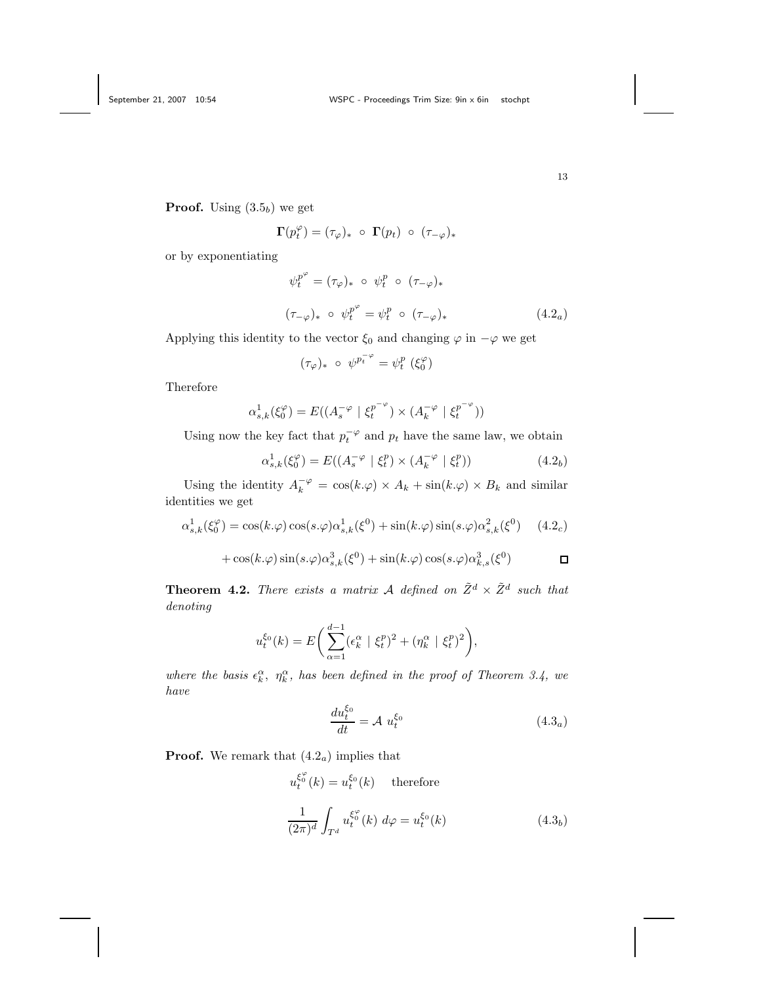**Proof.** Using  $(3.5<sub>b</sub>)$  we get

$$
\Gamma(p_t^{\varphi}) = (\tau_{\varphi})_* \circ \Gamma(p_t) \circ (\tau_{-\varphi})_*
$$

or by exponentiating

$$
\psi_t^{p^{\varphi}} = (\tau_{\varphi})_* \circ \psi_t^p \circ (\tau_{-\varphi})_*
$$
  

$$
(\tau_{-\varphi})_* \circ \psi_t^{p^{\varphi}} = \psi_t^p \circ (\tau_{-\varphi})_*
$$
 (4.2<sub>a</sub>)

Applying this identity to the vector  $\xi_0$  and changing  $\varphi$  in  $-\varphi$  we get

$$
(\tau_{\varphi})_* \ \circ \ \psi^{p_t^{-\varphi}} = \psi_t^p \ (\xi_0^{\varphi})
$$

Therefore

$$
\alpha^1_{s,k}(\xi^\varphi_0)=E((A_s^{-\varphi}\mid\xi^{p^{-\varphi}}_t)\times(A_k^{-\varphi}\mid\xi^{p^{-\varphi}}_t))
$$

Using now the key fact that  $p_t^{-\varphi}$  and  $p_t$  have the same law, we obtain

$$
\alpha_{s,k}^1(\xi_0^\varphi) = E((A_s^{-\varphi} \mid \xi_t^p) \times (A_k^{-\varphi} \mid \xi_t^p)) \tag{4.2b}
$$

Using the identity  $A_k^{-\varphi} = \cos(k \cdot \varphi) \times A_k + \sin(k \cdot \varphi) \times B_k$  and similar identities we get

$$
\alpha_{s,k}^1(\xi_0^\varphi) = \cos(k.\varphi)\cos(s.\varphi)\alpha_{s,k}^1(\xi^0) + \sin(k.\varphi)\sin(s.\varphi)\alpha_{s,k}^2(\xi^0) \quad (4.2_c)
$$

$$
+\cos(k\cdot\varphi)\sin(s\cdot\varphi)\alpha_{s,k}^3(\xi^0) + \sin(k\cdot\varphi)\cos(s\cdot\varphi)\alpha_{k,s}^3(\xi^0)
$$

**Theorem 4.2.** There exists a matrix A defined on  $\tilde{Z}^d \times \tilde{Z}^d$  such that denoting

$$
u_t^{\xi_0}(k) = E\bigg(\sum_{\alpha=1}^{d-1} (\epsilon_k^{\alpha} \mid \xi_t^p)^2 + (\eta_k^{\alpha} \mid \xi_t^p)^2\bigg),
$$

where the basis  $\epsilon_k^{\alpha}$ ,  $\eta_k^{\alpha}$ , has been defined in the proof of Theorem 3.4, we have

$$
\frac{du_t^{\xi_0}}{dt} = \mathcal{A} \ u_t^{\xi_0} \tag{4.3a}
$$

**Proof.** We remark that  $(4.2<sub>a</sub>)$  implies that

$$
u_t^{\xi_0^{\varphi}}(k) = u_t^{\xi_0}(k) \quad \text{therefore}
$$

$$
\frac{1}{(2\pi)^d} \int_{T^d} u_t^{\xi_0^{\varphi}}(k) \, d\varphi = u_t^{\xi_0}(k) \tag{4.3b}
$$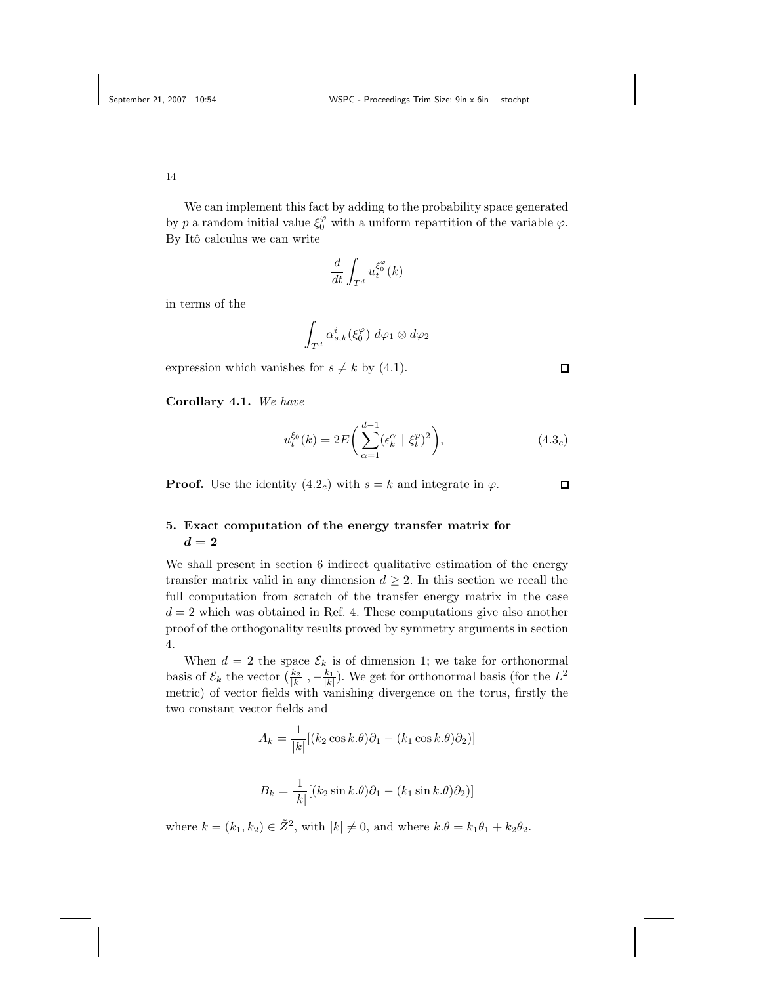We can implement this fact by adding to the probability space generated by p a random initial value  $\xi_0^{\varphi}$  with a uniform repartition of the variable  $\varphi$ . By Itô calculus we can write

$$
\frac{d}{dt} \int_{T^d} u_t^{\xi_0^{\varphi}}(k)
$$

in terms of the

$$
\int_{T^d} \alpha_{s,k}^i(\xi_0^{\varphi}) \ d\varphi_1 \otimes d\varphi_2
$$

expression which vanishes for  $s \neq k$  by (4.1).

Corollary 4.1. We have

$$
u_t^{\xi_0}(k) = 2E\bigg(\sum_{\alpha=1}^{d-1} (\epsilon_k^{\alpha} \mid \xi_t^p)^2\bigg), \tag{4.3c}
$$

**Proof.** Use the identity  $(4.2<sub>c</sub>)$  with  $s = k$  and integrate in  $\varphi$ .

# 5. Exact computation of the energy transfer matrix for  $d = 2$

We shall present in section 6 indirect qualitative estimation of the energy transfer matrix valid in any dimension  $d \geq 2$ . In this section we recall the full computation from scratch of the transfer energy matrix in the case  $d = 2$  which was obtained in Ref. 4. These computations give also another proof of the orthogonality results proved by symmetry arguments in section 4.

When  $d = 2$  the space  $\mathcal{E}_k$  is of dimension 1; we take for orthonormal basis of  $\mathcal{E}_k$  the vector  $(\frac{k_2}{|k|}, -\frac{k_1}{|k|})$ . We get for orthonormal basis (for the  $L^2$ metric) of vector fields with vanishing divergence on the torus, firstly the two constant vector fields and

$$
A_k = \frac{1}{|k|} [(k_2 \cos k \theta)\partial_1 - (k_1 \cos k \theta)\partial_2)]
$$
  

$$
B_k = \frac{1}{|k|} [(k_2 \sin k \theta)\partial_1 - (k_1 \sin k \theta)\partial_2)]
$$

where  $k = (k_1, k_2) \in \tilde{Z}^2$ , with  $|k| \neq 0$ , and where  $k \cdot \theta = k_1 \theta_1 + k_2 \theta_2$ .

 $\Box$ 

 $\Box$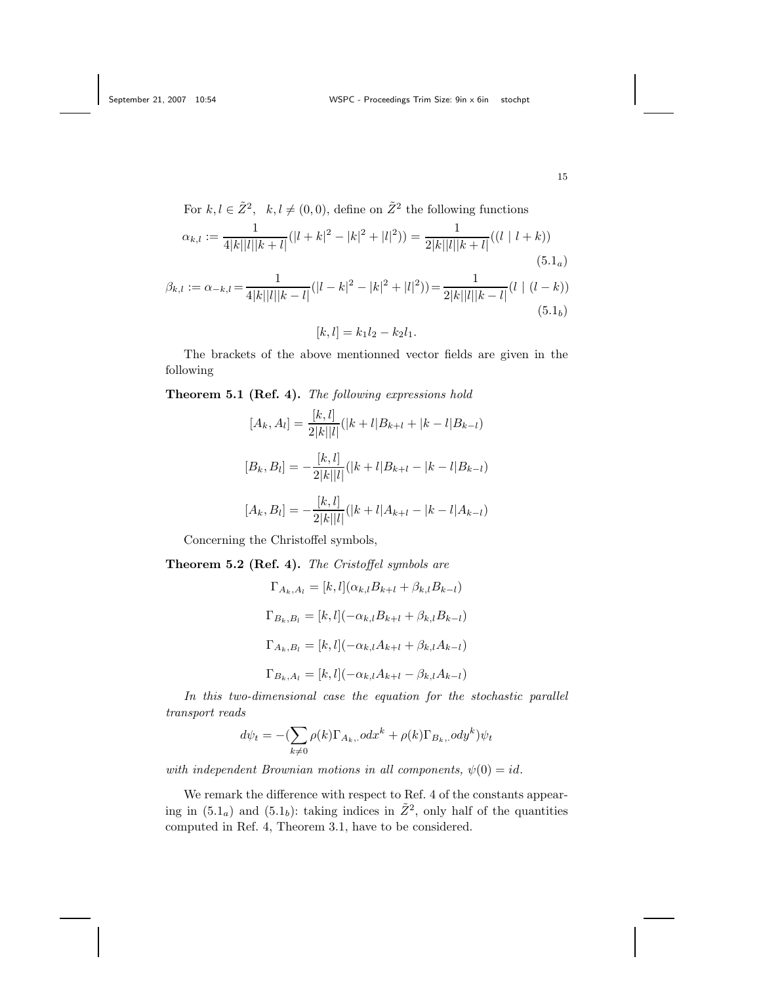For 
$$
k, l \in \tilde{Z}^2
$$
,  $k, l \neq (0, 0)$ , define on  $\tilde{Z}^2$  the following functions  
\n
$$
\alpha_{k,l} := \frac{1}{4|k||l||k+l|} (|l+k|^2 - |k|^2 + |l|^2) = \frac{1}{2|k||l||k+l|} ((l | l+k))
$$
\n
$$
\beta_{k,l} := \alpha_{-k,l} = \frac{1}{4|k||l||k-l|} (|l-k|^2 - |k|^2 + |l|^2) = \frac{1}{2|k||l||k-l|} (l | (l-k))
$$
\n
$$
(5.1_b)
$$

$$
[k, l] = k_1 l_2 - k_2 l_1.
$$

The brackets of the above mentionned vector fields are given in the following

Theorem 5.1 (Ref. 4). The following expressions hold

$$
[A_k, A_l] = \frac{[k, l]}{2|k||l|} (|k + l|B_{k+l} + |k - l|B_{k-l})
$$
  

$$
[B_k, B_l] = -\frac{[k, l]}{2|k||l|} (|k + l|B_{k+l} - |k - l|B_{k-l})
$$
  

$$
[A_k, B_l] = -\frac{[k, l]}{2|k||l|} (|k + l|A_{k+l} - |k - l|A_{k-l})
$$

Concerning the Christoffel symbols,

Theorem 5.2 (Ref. 4). The Cristoffel symbols are

$$
\Gamma_{A_k, A_l} = [k, l](\alpha_{k,l} B_{k+l} + \beta_{k,l} B_{k-l})
$$
  
\n
$$
\Gamma_{B_k, B_l} = [k, l](-\alpha_{k,l} B_{k+l} + \beta_{k,l} B_{k-l})
$$
  
\n
$$
\Gamma_{A_k, B_l} = [k, l](-\alpha_{k,l} A_{k+l} + \beta_{k,l} A_{k-l})
$$
  
\n
$$
\Gamma_{B_k, A_l} = [k, l](-\alpha_{k,l} A_{k+l} - \beta_{k,l} A_{k-l})
$$

In this two-dimensional case the equation for the stochastic parallel transport reads

$$
d\psi_t = -(\sum_{k\neq 0} \rho(k)\Gamma_{A_k, .} o dx^k + \rho(k)\Gamma_{B_k, .} o dy^k)\psi_t
$$

with independent Brownian motions in all components,  $\psi(0) = id$ .

We remark the difference with respect to Ref. 4 of the constants appearing in  $(5.1<sub>a</sub>)$  and  $(5.1<sub>b</sub>)$ : taking indices in  $\tilde{Z}^2$ , only half of the quantities computed in Ref. 4, Theorem 3.1, have to be considered.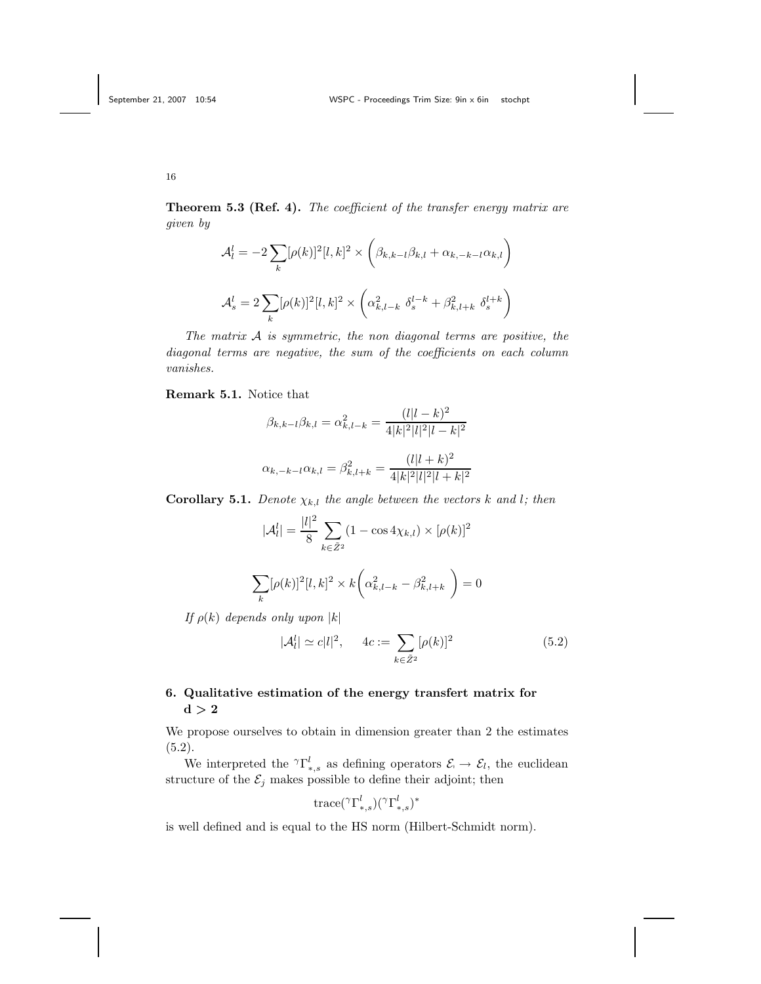Theorem 5.3 (Ref. 4). The coefficient of the transfer energy matrix are given by

$$
\mathcal{A}_l^l = -2 \sum_k [\rho(k)]^2 [l, k]^2 \times \left( \beta_{k, k-l} \beta_{k, l} + \alpha_{k, -k-l} \alpha_{k, l} \right)
$$

$$
\mathcal{A}_s^l = 2 \sum_k [\rho(k)]^2 [l, k]^2 \times \left( \alpha_{k, l-k}^2 \ \delta_s^{l-k} + \beta_{k, l+k}^2 \ \delta_s^{l+k} \right)
$$

The matrix  $A$  is symmetric, the non-diagonal terms are positive, the diagonal terms are negative, the sum of the coefficients on each column vanishes.

### Remark 5.1. Notice that

$$
\beta_{k,k-l}\beta_{k,l} = \alpha_{k,l-k}^2 = \frac{(l|l-k)^2}{4|k|^2|l|^2|l-k|^2}
$$

$$
\alpha_{k,-k-l}\alpha_{k,l} = \beta_{k,l+k}^2 = \frac{(l|l+k)^2}{4|k|^2|l|^2|l+k|^2}
$$

**Corollary 5.1.** Denote  $\chi_{k,l}$  the angle between the vectors k and l; then

$$
|\mathcal{A}_l^l| = \frac{|l|^2}{8} \sum_{k \in \tilde{Z}^2} (1 - \cos 4\chi_{k,l}) \times [\rho(k)]^2
$$

$$
\sum_{k} [\rho(k)]^{2} [l, k]^{2} \times k \bigg( \alpha_{k,l-k}^{2} - \beta_{k,l+k}^{2} \bigg) = 0
$$

If  $\rho(k)$  depends only upon  $|k|$ 

$$
|\mathcal{A}_l^l| \simeq c|l|^2, \qquad 4c := \sum_{k \in \tilde{Z}^2} [\rho(k)]^2 \tag{5.2}
$$

 $\rightarrow \infty$ 

## 6. Qualitative estimation of the energy transfert matrix for  $d > 2$

We propose ourselves to obtain in dimension greater than 2 the estimates  $(5.2).$ 

We interpreted the  ${}^{\gamma}\Gamma^l_{*,s}$  as defining operators  $\mathcal{E}_{\cdot} \to \mathcal{E}_{l}$ , the euclidean structure of the  $\mathcal{E}_j$  makes possible to define their adjoint; then

$$
\mathrm{trace}(\text{Tr}_{*,s}^{l})(\text{Tr}_{*,s}^{l})^{*}
$$

is well defined and is equal to the HS norm (Hilbert-Schmidt norm).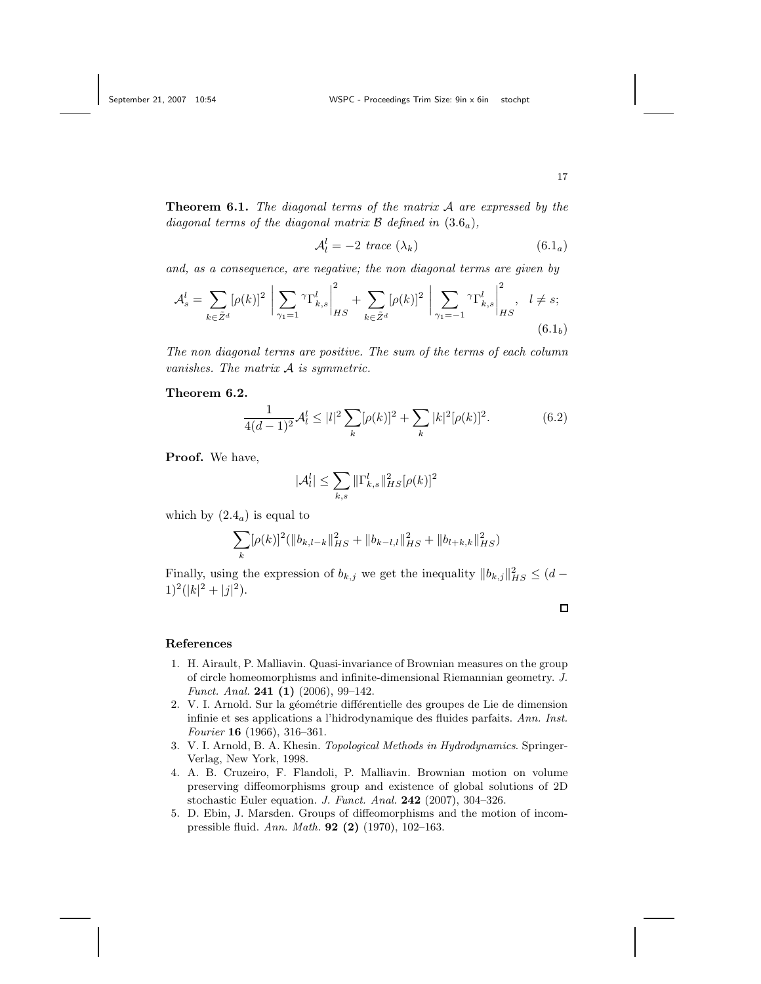**Theorem 6.1.** The diagonal terms of the matrix  $A$  are expressed by the diagonal terms of the diagonal matrix  $\mathcal B$  defined in  $(3.6_a)$ ,

$$
\mathcal{A}_l^l = -2 \ trace \left( \lambda_k \right) \tag{6.1a}
$$

and, as a consequence, are negative; the non diagonal terms are given by

$$
\mathcal{A}_s^l = \sum_{k \in \tilde{Z}^d} [\rho(k)]^2 \left| \sum_{\gamma_1=1}^{\gamma} \Upsilon_{k,s}^l \right|_{HS}^2 + \sum_{k \in \tilde{Z}^d} [\rho(k)]^2 \left| \sum_{\gamma_1=-1}^{\gamma} \Upsilon_{k,s}^l \right|_{HS}^2, \quad l \neq s;
$$
\n
$$
(6.1_b)
$$

The non diagonal terms are positive. The sum of the terms of each column vanishes. The matrix A is symmetric.

### Theorem 6.2.

$$
\frac{1}{4(d-1)^2} \mathcal{A}_l^l \le |l|^2 \sum_k [\rho(k)]^2 + \sum_k |k|^2 [\rho(k)]^2.
$$
 (6.2)

Proof. We have,

$$
|\mathcal{A}_l^l|\leq \sum_{k,s}\|\Gamma_{k,s}^l\|_{HS}^2[\rho(k)]^2
$$

which by  $(2.4<sub>a</sub>)$  is equal to

$$
\sum_{k} [\rho(k)]^2 (\|b_{k,l-k}\|_{HS}^2 + \|b_{k-l,l}\|_{HS}^2 + \|b_{l+k,k}\|_{HS}^2)
$$

Finally, using the expression of  $b_{k,j}$  we get the inequality  $||b_{k,j}||_{HS}^2 \leq (d 1)^{2}(|k|^{2}+|j|^{2}).$ 

 $\Box$ 

#### References

- 1. H. Airault, P. Malliavin. Quasi-invariance of Brownian measures on the group of circle homeomorphisms and infinite-dimensional Riemannian geometry. J. Funct. Anal. 241 (1)  $(2006)$ , 99-142.
- 2. V. I. Arnold. Sur la géométrie différentielle des groupes de Lie de dimension infinie et ses applications a l'hidrodynamique des fluides parfaits. Ann. Inst. Fourier 16 (1966), 316–361.
- 3. V. I. Arnold, B. A. Khesin. Topological Methods in Hydrodynamics. Springer-Verlag, New York, 1998.
- 4. A. B. Cruzeiro, F. Flandoli, P. Malliavin. Brownian motion on volume preserving diffeomorphisms group and existence of global solutions of 2D stochastic Euler equation. J. Funct. Anal. 242 (2007), 304–326.
- 5. D. Ebin, J. Marsden. Groups of diffeomorphisms and the motion of incompressible fluid. Ann. Math. 92 (2) (1970), 102–163.